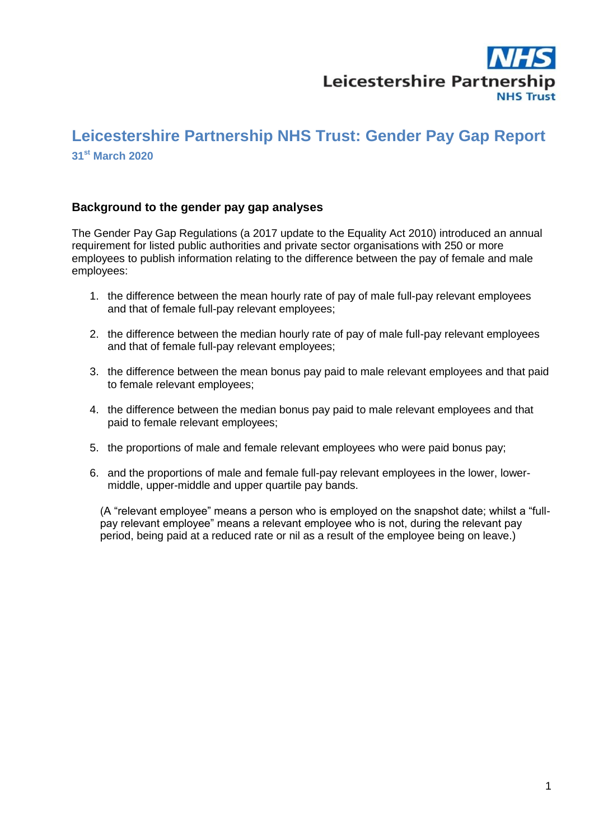

# **Leicestershire Partnership NHS Trust: Gender Pay Gap Report**

**31 st March 2020**

#### **Background to the gender pay gap analyses**

The Gender Pay Gap Regulations (a 2017 update to the Equality Act 2010) introduced an annual requirement for listed public authorities and private sector organisations with 250 or more employees to publish information relating to the difference between the pay of female and male employees:

- 1. the difference between the mean hourly rate of pay of male full-pay relevant employees and that of female full-pay relevant employees;
- 2. the difference between the median hourly rate of pay of male full-pay relevant employees and that of female full-pay relevant employees;
- 3. the difference between the mean bonus pay paid to male relevant employees and that paid to female relevant employees;
- 4. the difference between the median bonus pay paid to male relevant employees and that paid to female relevant employees;
- 5. the proportions of male and female relevant employees who were paid bonus pay;
- 6. and the proportions of male and female full-pay relevant employees in the lower, lowermiddle, upper-middle and upper quartile pay bands.

(A "relevant employee" means a person who is employed on the snapshot date; whilst a "fullpay relevant employee" means a relevant employee who is not, during the relevant pay period, being paid at a reduced rate or nil as a result of the employee being on leave.)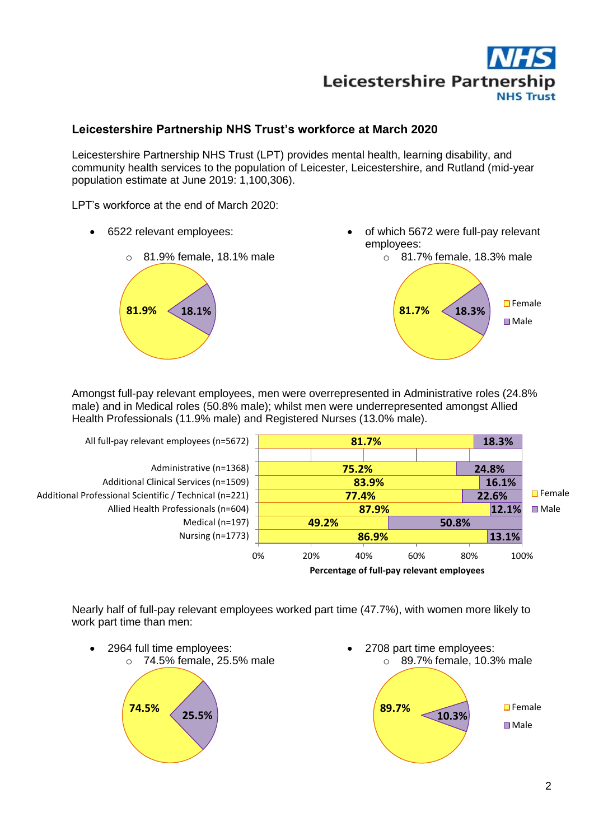

### **Leicestershire Partnership NHS Trust's workforce at March 2020**

Leicestershire Partnership NHS Trust (LPT) provides mental health, learning disability, and community health services to the population of Leicester, Leicestershire, and Rutland (mid-year population estimate at June 2019: 1,100,306).

LPT's workforce at the end of March 2020:

- 6522 relevant employees:
	- o 81.9% female, 18.1% male



 of which 5672 were full-pay relevant employees:



Amongst full-pay relevant employees, men were overrepresented in Administrative roles (24.8% male) and in Medical roles (50.8% male); whilst men were underrepresented amongst Allied Health Professionals (11.9% male) and Registered Nurses (13.0% male).



Nearly half of full-pay relevant employees worked part time (47.7%), with women more likely to work part time than men:

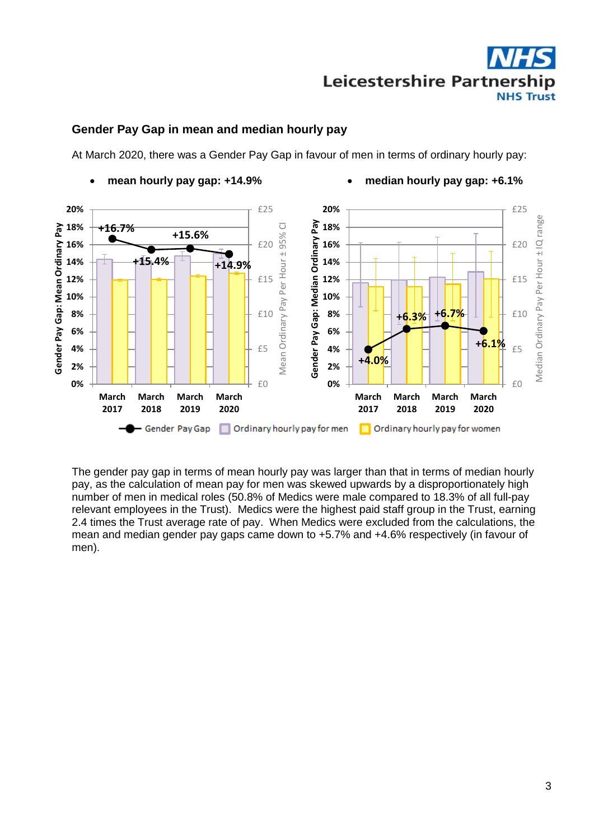

#### **Gender Pay Gap in mean and median hourly pay**

At March 2020, there was a Gender Pay Gap in favour of men in terms of ordinary hourly pay:



The gender pay gap in terms of mean hourly pay was larger than that in terms of median hourly pay, as the calculation of mean pay for men was skewed upwards by a disproportionately high number of men in medical roles (50.8% of Medics were male compared to 18.3% of all full-pay relevant employees in the Trust). Medics were the highest paid staff group in the Trust, earning 2.4 times the Trust average rate of pay. When Medics were excluded from the calculations, the mean and median gender pay gaps came down to +5.7% and +4.6% respectively (in favour of men).

#### **mean hourly pay gap: +14.9% median hourly pay gap: +6.1%**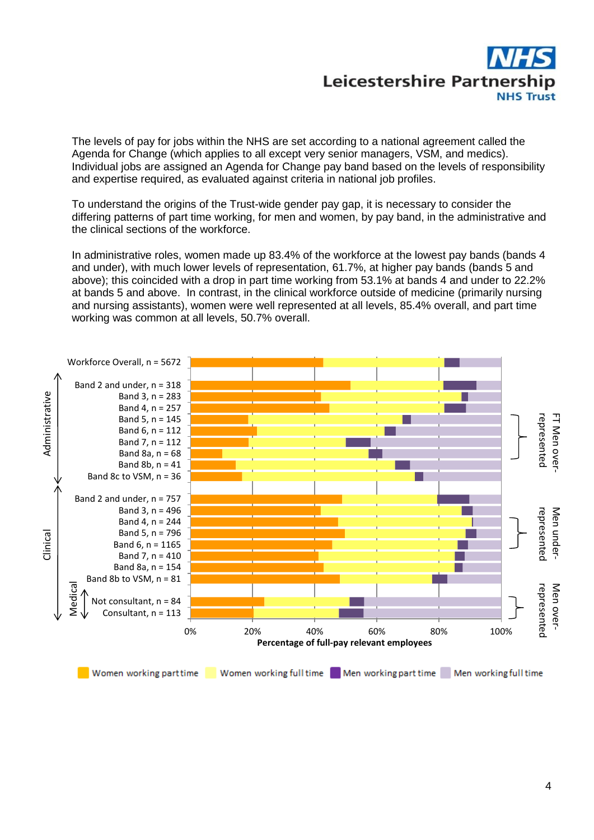

The levels of pay for jobs within the NHS are set according to a national agreement called the Agenda for Change (which applies to all except very senior managers, VSM, and medics). Individual jobs are assigned an Agenda for Change pay band based on the levels of responsibility and expertise required, as evaluated against criteria in national job profiles.

To understand the origins of the Trust-wide gender pay gap, it is necessary to consider the differing patterns of part time working, for men and women, by pay band, in the administrative and the clinical sections of the workforce.

In administrative roles, women made up 83.4% of the workforce at the lowest pay bands (bands 4 and under), with much lower levels of representation, 61.7%, at higher pay bands (bands 5 and above); this coincided with a drop in part time working from 53.1% at bands 4 and under to 22.2% at bands 5 and above. In contrast, in the clinical workforce outside of medicine (primarily nursing and nursing assistants), women were well represented at all levels, 85.4% overall, and part time working was common at all levels, 50.7% overall.

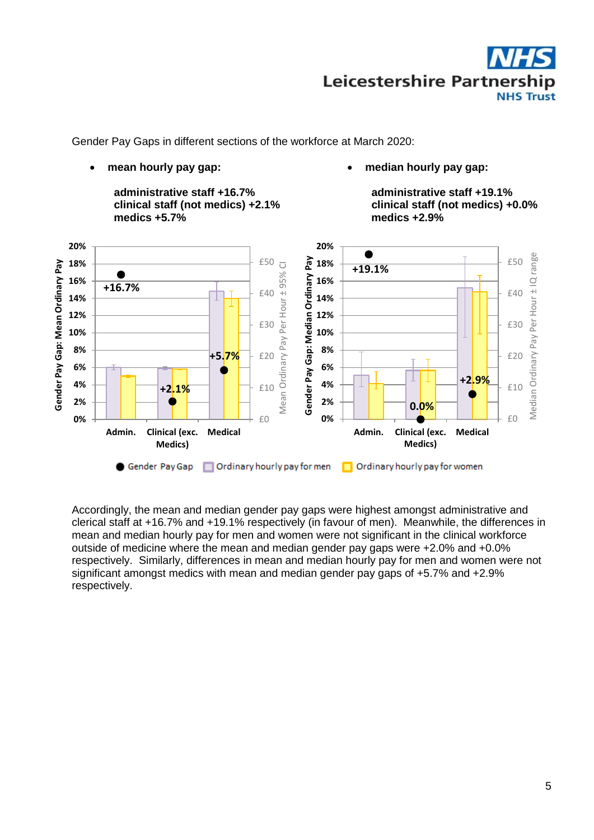

Gender Pay Gaps in different sections of the workforce at March 2020:

**mean hourly pay gap:**

 **administrative staff +16.7% clinical staff (not medics) +2.1% medics +5.7%**

**median hourly pay gap:**



Accordingly, the mean and median gender pay gaps were highest amongst administrative and clerical staff at +16.7% and +19.1% respectively (in favour of men). Meanwhile, the differences in mean and median hourly pay for men and women were not significant in the clinical workforce outside of medicine where the mean and median gender pay gaps were +2.0% and +0.0% respectively. Similarly, differences in mean and median hourly pay for men and women were not significant amongst medics with mean and median gender pay gaps of +5.7% and +2.9% respectively.

 **administrative staff +19.1% clinical staff (not medics) +0.0% medics +2.9%**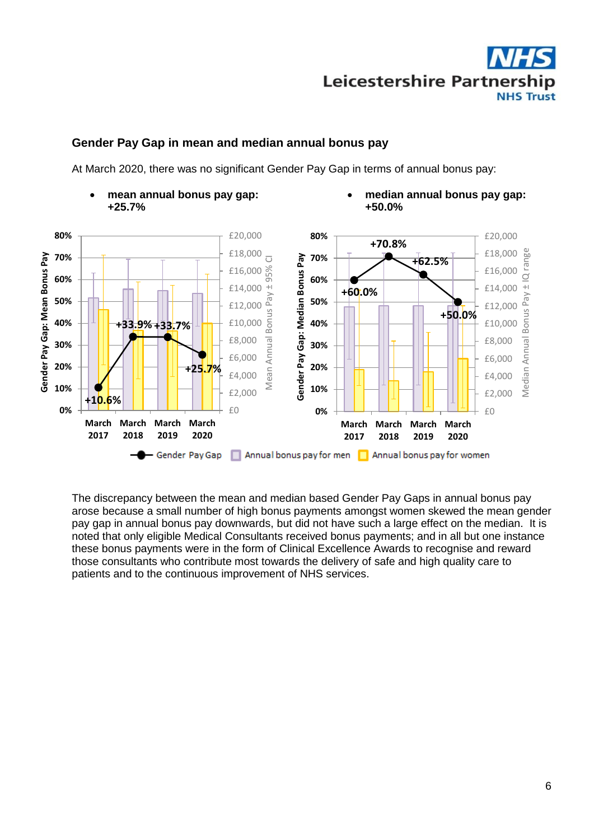

#### **Gender Pay Gap in mean and median annual bonus pay**

At March 2020, there was no significant Gender Pay Gap in terms of annual bonus pay:



 **median annual bonus pay gap: +50.0%**



The discrepancy between the mean and median based Gender Pay Gaps in annual bonus pay arose because a small number of high bonus payments amongst women skewed the mean gender pay gap in annual bonus pay downwards, but did not have such a large effect on the median. It is noted that only eligible Medical Consultants received bonus payments; and in all but one instance these bonus payments were in the form of Clinical Excellence Awards to recognise and reward those consultants who contribute most towards the delivery of safe and high quality care to patients and to the continuous improvement of NHS services.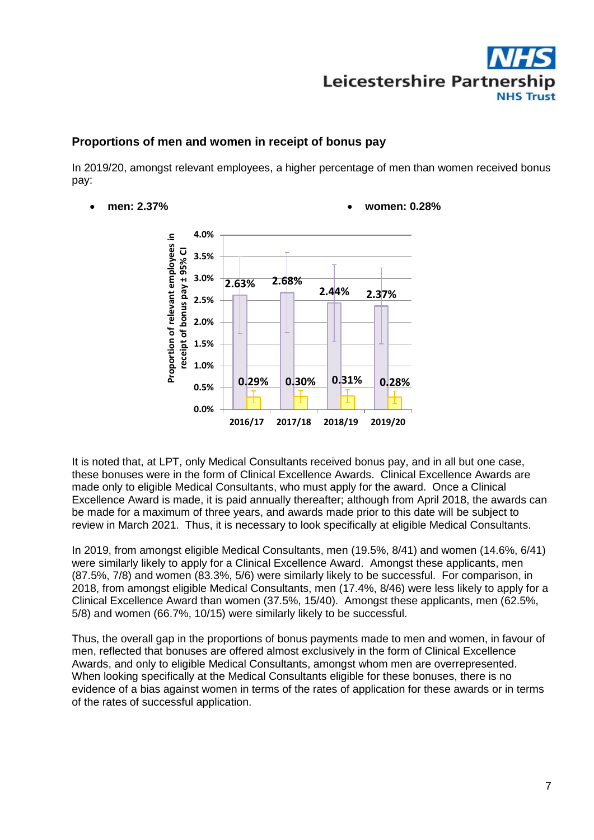

#### **Proportions of men and women in receipt of bonus pay**

In 2019/20, amongst relevant employees, a higher percentage of men than women received bonus pay:

 **men: 2.37% women: 0.28% 4.0%** Proportion of relevant employees in **Proportion of relevant employees in**  receipt of bonus pay ± 95% CI **receipt of bonus pay ± 95% CI3.5% 3.0% 2.63% 2.68% 2.44% 2.37% 2.5% 2.0% 1.5% 1.0% 0.29% 0.30% 0.31% 0.28% 0.5% 0.0% 2016/17 2017/18 2018/19 2019/20**

It is noted that, at LPT, only Medical Consultants received bonus pay, and in all but one case, these bonuses were in the form of Clinical Excellence Awards. Clinical Excellence Awards are made only to eligible Medical Consultants, who must apply for the award. Once a Clinical Excellence Award is made, it is paid annually thereafter; although from April 2018, the awards can be made for a maximum of three years, and awards made prior to this date will be subject to review in March 2021. Thus, it is necessary to look specifically at eligible Medical Consultants.

In 2019, from amongst eligible Medical Consultants, men (19.5%, 8/41) and women (14.6%, 6/41) were similarly likely to apply for a Clinical Excellence Award. Amongst these applicants, men (87.5%, 7/8) and women (83.3%, 5/6) were similarly likely to be successful. For comparison, in 2018, from amongst eligible Medical Consultants, men (17.4%, 8/46) were less likely to apply for a Clinical Excellence Award than women (37.5%, 15/40). Amongst these applicants, men (62.5%, 5/8) and women (66.7%, 10/15) were similarly likely to be successful.

Thus, the overall gap in the proportions of bonus payments made to men and women, in favour of men, reflected that bonuses are offered almost exclusively in the form of Clinical Excellence Awards, and only to eligible Medical Consultants, amongst whom men are overrepresented. When looking specifically at the Medical Consultants eligible for these bonuses, there is no evidence of a bias against women in terms of the rates of application for these awards or in terms of the rates of successful application.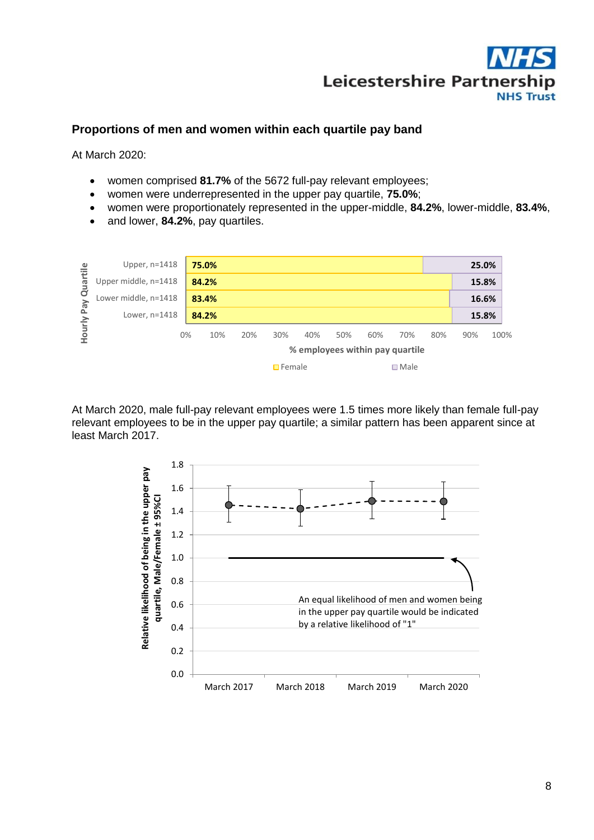

#### **Proportions of men and women within each quartile pay band**

At March 2020:

- women comprised **81.7%** of the 5672 full-pay relevant employees;
- women were underrepresented in the upper pay quartile, **75.0%**;
- women were proportionately represented in the upper-middle, **84.2%**, lower-middle, **83.4%**,
- and lower, **84.2%**, pay quartiles.



At March 2020, male full-pay relevant employees were 1.5 times more likely than female full-pay relevant employees to be in the upper pay quartile; a similar pattern has been apparent since at least March 2017.

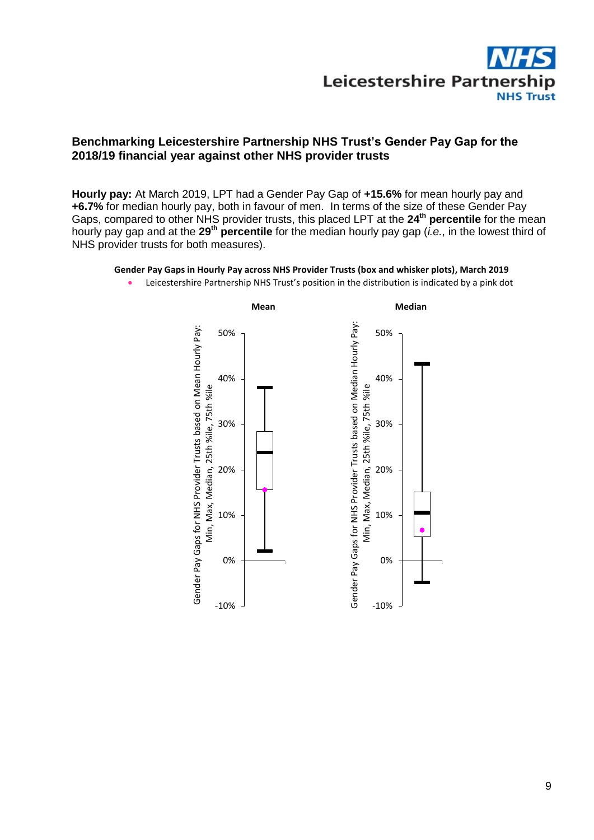

### **Benchmarking Leicestershire Partnership NHS Trust's Gender Pay Gap for the 2018/19 financial year against other NHS provider trusts**

**Hourly pay:** At March 2019, LPT had a Gender Pay Gap of **+15.6%** for mean hourly pay and **+6.7%** for median hourly pay, both in favour of men. In terms of the size of these Gender Pay Gaps, compared to other NHS provider trusts, this placed LPT at the **24th percentile** for the mean hourly pay gap and at the **29th percentile** for the median hourly pay gap (*i.e.*, in the lowest third of NHS provider trusts for both measures).



- **Gender Pay Gaps in Hourly Pay across NHS Provider Trusts (box and whisker plots), March 2019**
	- Leicestershire Partnership NHS Trust's position in the distribution is indicated by a pink dot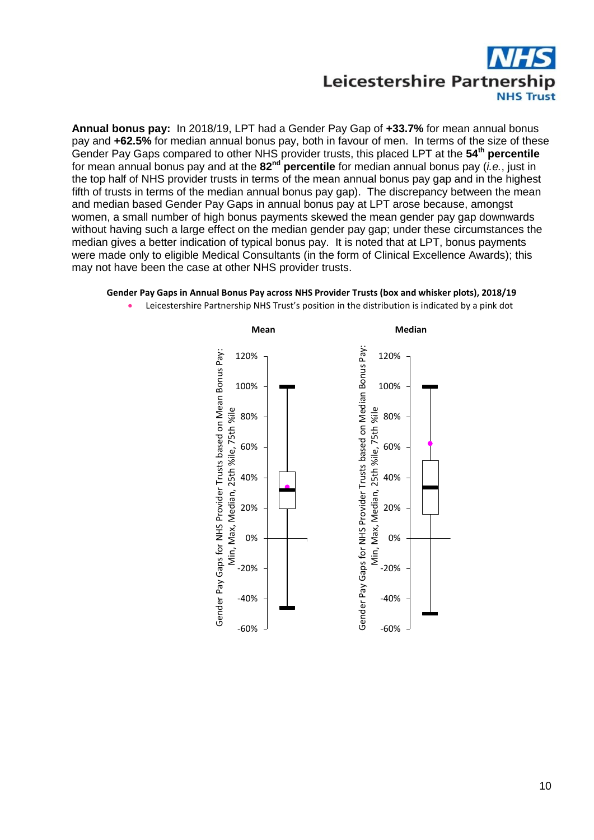

**Annual bonus pay:** In 2018/19, LPT had a Gender Pay Gap of **+33.7%** for mean annual bonus pay and **+62.5%** for median annual bonus pay, both in favour of men. In terms of the size of these Gender Pay Gaps compared to other NHS provider trusts, this placed LPT at the **54th percentile** for mean annual bonus pay and at the 82<sup>nd</sup> percentile for median annual bonus pay (*i.e.*, just in the top half of NHS provider trusts in terms of the mean annual bonus pay gap and in the highest fifth of trusts in terms of the median annual bonus pay gap). The discrepancy between the mean and median based Gender Pay Gaps in annual bonus pay at LPT arose because, amongst women, a small number of high bonus payments skewed the mean gender pay gap downwards without having such a large effect on the median gender pay gap; under these circumstances the median gives a better indication of typical bonus pay. It is noted that at LPT, bonus payments were made only to eligible Medical Consultants (in the form of Clinical Excellence Awards); this may not have been the case at other NHS provider trusts.

## **Gender Pay Gaps in Annual Bonus Pay across NHS Provider Trusts (box and whisker plots), 2018/19**



Leicestershire Partnership NHS Trust's position in the distribution is indicated by a pink dot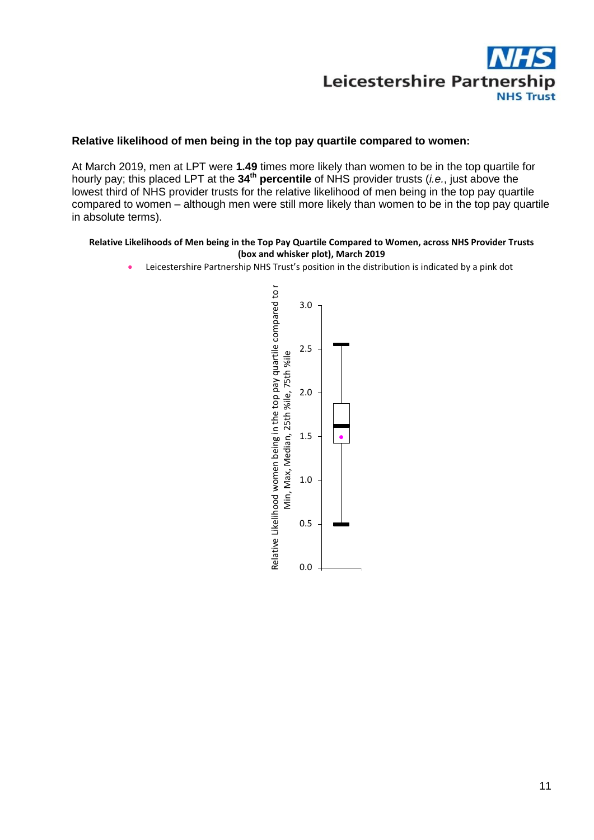

#### **Relative likelihood of men being in the top pay quartile compared to women:**

At March 2019, men at LPT were **1.49** times more likely than women to be in the top quartile for hourly pay; this placed LPT at the **34th percentile** of NHS provider trusts (*i.e.*, just above the lowest third of NHS provider trusts for the relative likelihood of men being in the top pay quartile compared to women – although men were still more likely than women to be in the top pay quartile in absolute terms).

#### **Relative Likelihoods of Men being in the Top Pay Quartile Compared to Women, across NHS Provider Trusts (box and whisker plot), March 2019**

Leicestershire Partnership NHS Trust's position in the distribution is indicated by a pink dot

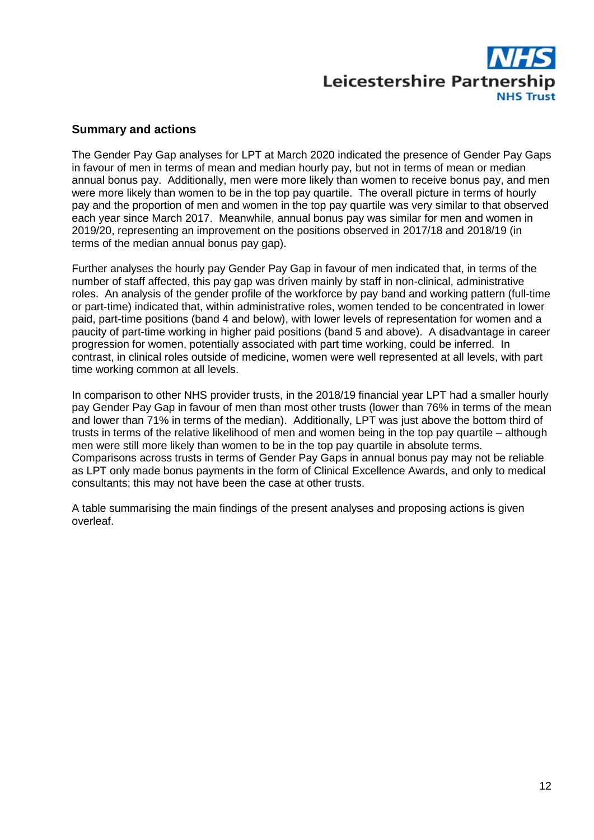

#### **Summary and actions**

The Gender Pay Gap analyses for LPT at March 2020 indicated the presence of Gender Pay Gaps in favour of men in terms of mean and median hourly pay, but not in terms of mean or median annual bonus pay. Additionally, men were more likely than women to receive bonus pay, and men were more likely than women to be in the top pay quartile. The overall picture in terms of hourly pay and the proportion of men and women in the top pay quartile was very similar to that observed each year since March 2017. Meanwhile, annual bonus pay was similar for men and women in 2019/20, representing an improvement on the positions observed in 2017/18 and 2018/19 (in terms of the median annual bonus pay gap).

Further analyses the hourly pay Gender Pay Gap in favour of men indicated that, in terms of the number of staff affected, this pay gap was driven mainly by staff in non-clinical, administrative roles. An analysis of the gender profile of the workforce by pay band and working pattern (full-time or part-time) indicated that, within administrative roles, women tended to be concentrated in lower paid, part-time positions (band 4 and below), with lower levels of representation for women and a paucity of part-time working in higher paid positions (band 5 and above). A disadvantage in career progression for women, potentially associated with part time working, could be inferred. In contrast, in clinical roles outside of medicine, women were well represented at all levels, with part time working common at all levels.

In comparison to other NHS provider trusts, in the 2018/19 financial year LPT had a smaller hourly pay Gender Pay Gap in favour of men than most other trusts (lower than 76% in terms of the mean and lower than 71% in terms of the median). Additionally, LPT was just above the bottom third of trusts in terms of the relative likelihood of men and women being in the top pay quartile – although men were still more likely than women to be in the top pay quartile in absolute terms. Comparisons across trusts in terms of Gender Pay Gaps in annual bonus pay may not be reliable as LPT only made bonus payments in the form of Clinical Excellence Awards, and only to medical consultants; this may not have been the case at other trusts.

A table summarising the main findings of the present analyses and proposing actions is given overleaf.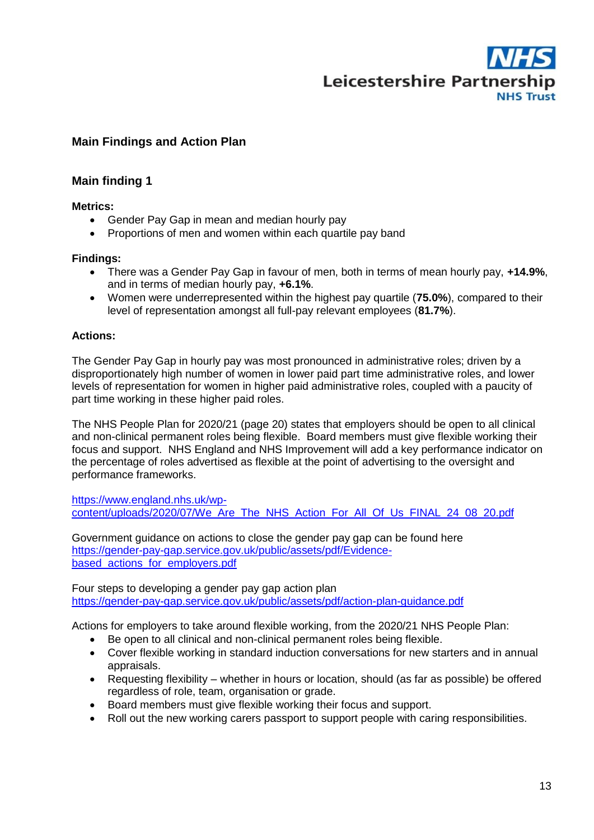

#### **Main Findings and Action Plan**

#### **Main finding 1**

#### **Metrics:**

- Gender Pay Gap in mean and median hourly pay
- Proportions of men and women within each quartile pay band

#### **Findings:**

- There was a Gender Pay Gap in favour of men, both in terms of mean hourly pay, **+14.9%**, and in terms of median hourly pay, **+6.1%**.
- Women were underrepresented within the highest pay quartile (**75.0%**), compared to their level of representation amongst all full-pay relevant employees (**81.7%**).

#### **Actions:**

The Gender Pay Gap in hourly pay was most pronounced in administrative roles; driven by a disproportionately high number of women in lower paid part time administrative roles, and lower levels of representation for women in higher paid administrative roles, coupled with a paucity of part time working in these higher paid roles.

The NHS People Plan for 2020/21 (page 20) states that employers should be open to all clinical and non-clinical permanent roles being flexible. Board members must give flexible working their focus and support. NHS England and NHS Improvement will add a key performance indicator on the percentage of roles advertised as flexible at the point of advertising to the oversight and performance frameworks.

[https://www.england.nhs.uk/wp](https://www.england.nhs.uk/wp-content/uploads/2020/07/We_Are_The_NHS_Action_For_All_Of_Us_FINAL_24_08_20.pdf)[content/uploads/2020/07/We\\_Are\\_The\\_NHS\\_Action\\_For\\_All\\_Of\\_Us\\_FINAL\\_24\\_08\\_20.pdf](https://www.england.nhs.uk/wp-content/uploads/2020/07/We_Are_The_NHS_Action_For_All_Of_Us_FINAL_24_08_20.pdf)

Government guidance on actions to close the gender pay gap can be found here [https://gender-pay-gap.service.gov.uk/public/assets/pdf/Evidence](https://gender-pay-gap.service.gov.uk/public/assets/pdf/Evidence-based_actions_for_employers.pdf)[based\\_actions\\_for\\_employers.pdf](https://gender-pay-gap.service.gov.uk/public/assets/pdf/Evidence-based_actions_for_employers.pdf)

Four steps to developing a gender pay gap action plan <https://gender-pay-gap.service.gov.uk/public/assets/pdf/action-plan-guidance.pdf>

Actions for employers to take around flexible working, from the 2020/21 NHS People Plan:

- Be open to all clinical and non-clinical permanent roles being flexible.
- Cover flexible working in standard induction conversations for new starters and in annual appraisals.
- Requesting flexibility whether in hours or location, should (as far as possible) be offered regardless of role, team, organisation or grade.
- Board members must give flexible working their focus and support.
- Roll out the new working carers passport to support people with caring responsibilities.